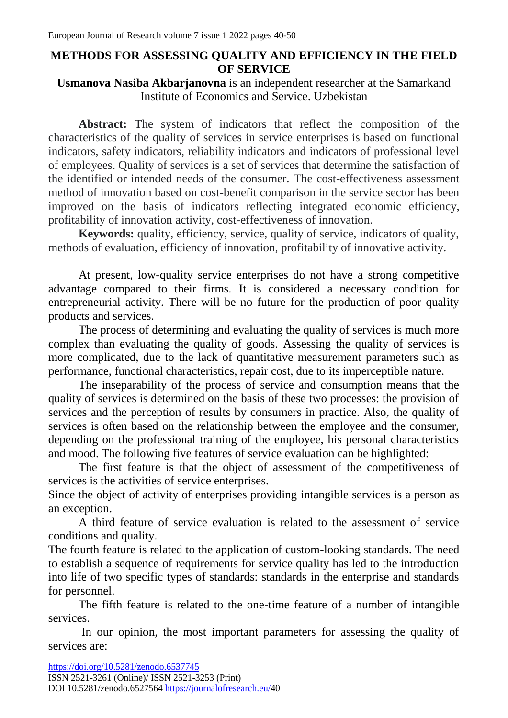## **METHODS FOR ASSESSING QUALITY AND EFFICIENCY IN THE FIELD OF SERVICE**

## **Usmanova Nasiba Akbarjanovna** is an independent researcher at the Samarkand Institute of Economics and Service. Uzbekistan

**Abstract:** The system of indicators that reflect the composition of the characteristics of the quality of services in service enterprises is based on functional indicators, safety indicators, reliability indicators and indicators of professional level of employees. Quality of services is a set of services that determine the satisfaction of the identified or intended needs of the consumer. The cost-effectiveness assessment method of innovation based on cost-benefit comparison in the service sector has been improved on the basis of indicators reflecting integrated economic efficiency, profitability of innovation activity, cost-effectiveness of innovation.

**Keywords:** quality, efficiency, service, quality of service, indicators of quality, methods of evaluation, efficiency of innovation, profitability of innovative activity.

At present, low-quality service enterprises do not have a strong competitive advantage compared to their firms. It is considered a necessary condition for entrepreneurial activity. There will be no future for the production of poor quality products and services.

The process of determining and evaluating the quality of services is much more complex than evaluating the quality of goods. Assessing the quality of services is more complicated, due to the lack of quantitative measurement parameters such as performance, functional characteristics, repair cost, due to its imperceptible nature.

The inseparability of the process of service and consumption means that the quality of services is determined on the basis of these two processes: the provision of services and the perception of results by consumers in practice. Also, the quality of services is often based on the relationship between the employee and the consumer, depending on the professional training of the employee, his personal characteristics and mood. The following five features of service evaluation can be highlighted:

The first feature is that the object of assessment of the competitiveness of services is the activities of service enterprises.

Since the object of activity of enterprises providing intangible services is a person as an exception.

A third feature of service evaluation is related to the assessment of service conditions and quality.

The fourth feature is related to the application of custom-looking standards. The need to establish a sequence of requirements for service quality has led to the introduction into life of two specific types of standards: standards in the enterprise and standards for personnel.

The fifth feature is related to the one-time feature of a number of intangible services.

In our opinion, the most important parameters for assessing the quality of services are: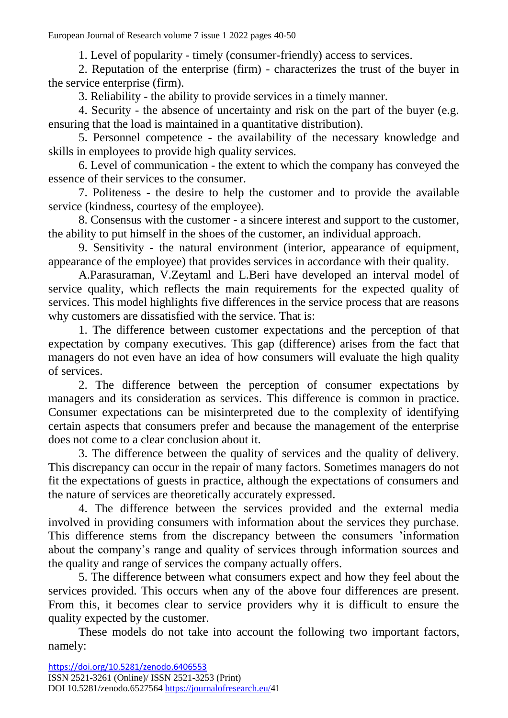1. Level of popularity - timely (consumer-friendly) access to services.

2. Reputation of the enterprise (firm) - characterizes the trust of the buyer in the service enterprise (firm).

3. Reliability - the ability to provide services in a timely manner.

4. Security - the absence of uncertainty and risk on the part of the buyer (e.g. ensuring that the load is maintained in a quantitative distribution).

5. Personnel competence - the availability of the necessary knowledge and skills in employees to provide high quality services.

6. Level of communication - the extent to which the company has conveyed the essence of their services to the consumer.

7. Politeness - the desire to help the customer and to provide the available service (kindness, courtesy of the employee).

8. Consensus with the customer - a sincere interest and support to the customer, the ability to put himself in the shoes of the customer, an individual approach.

9. Sensitivity - the natural environment (interior, appearance of equipment, appearance of the employee) that provides services in accordance with their quality.

A.Parasuraman, V.Zeytaml and L.Beri have developed an interval model of service quality, which reflects the main requirements for the expected quality of services. This model highlights five differences in the service process that are reasons why customers are dissatisfied with the service. That is:

1. The difference between customer expectations and the perception of that expectation by company executives. This gap (difference) arises from the fact that managers do not even have an idea of how consumers will evaluate the high quality of services.

2. The difference between the perception of consumer expectations by managers and its consideration as services. This difference is common in practice. Consumer expectations can be misinterpreted due to the complexity of identifying certain aspects that consumers prefer and because the management of the enterprise does not come to a clear conclusion about it.

3. The difference between the quality of services and the quality of delivery. This discrepancy can occur in the repair of many factors. Sometimes managers do not fit the expectations of guests in practice, although the expectations of consumers and the nature of services are theoretically accurately expressed.

4. The difference between the services provided and the external media involved in providing consumers with information about the services they purchase. This difference stems from the discrepancy between the consumers 'information about the company's range and quality of services through information sources and the quality and range of services the company actually offers.

5. The difference between what consumers expect and how they feel about the services provided. This occurs when any of the above four differences are present. From this, it becomes clear to service providers why it is difficult to ensure the quality expected by the customer.

These models do not take into account the following two important factors, namely: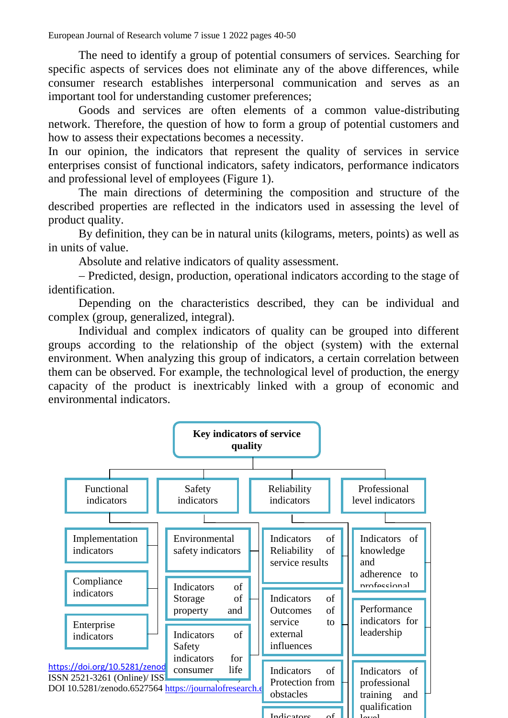The need to identify a group of potential consumers of services. Searching for specific aspects of services does not eliminate any of the above differences, while consumer research establishes interpersonal communication and serves as an important tool for understanding customer preferences;

Goods and services are often elements of a common value-distributing network. Therefore, the question of how to form a group of potential customers and how to assess their expectations becomes a necessity.

In our opinion, the indicators that represent the quality of services in service enterprises consist of functional indicators, safety indicators, performance indicators and professional level of employees (Figure 1).

The main directions of determining the composition and structure of the described properties are reflected in the indicators used in assessing the level of product quality.

By definition, they can be in natural units (kilograms, meters, points) as well as in units of value.

Absolute and relative indicators of quality assessment.

 Predicted, design, production, operational indicators according to the stage of identification.

Depending on the characteristics described, they can be individual and complex (group, generalized, integral).

Individual and complex indicators of quality can be grouped into different groups according to the relationship of the object (system) with the external environment. When analyzing this group of indicators, a certain correlation between them can be observed. For example, the technological level of production, the energy capacity of the product is inextricably linked with a group of economic and environmental indicators.

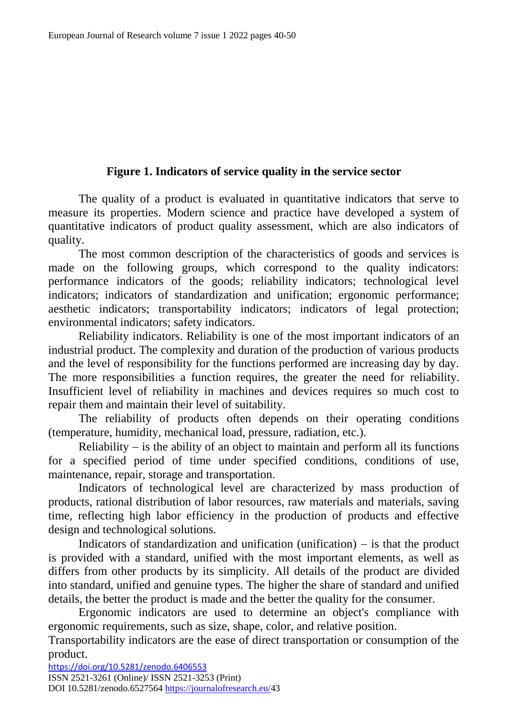## **Figure 1. Indicators of service quality in the service sector**

The quality of a product is evaluated in quantitative indicators that serve to measure its properties. Modern science and practice have developed a system of quantitative indicators of product quality assessment, which are also indicators of quality.

The most common description of the characteristics of goods and services is made on the following groups, which correspond to the quality indicators: performance indicators of the goods; reliability indicators; technological level indicators; indicators of standardization and unification; ergonomic performance; aesthetic indicators; transportability indicators; indicators of legal protection; environmental indicators; safety indicators.

Reliability indicators. Reliability is one of the most important indicators of an industrial product. The complexity and duration of the production of various products and the level of responsibility for the functions performed are increasing day by day. The more responsibilities a function requires, the greater the need for reliability. Insufficient level of reliability in machines and devices requires so much cost to repair them and maintain their level of suitability.

The reliability of products often depends on their operating conditions (temperature, humidity, mechanical load, pressure, radiation, etc.).

Reliability  $-$  is the ability of an object to maintain and perform all its functions for a specified period of time under specified conditions, conditions of use, maintenance, repair, storage and transportation.

Indicators of technological level are characterized by mass production of products, rational distribution of labor resources, raw materials and materials, saving time, reflecting high labor efficiency in the production of products and effective design and technological solutions.

Indicators of standardization and unification (unification)  $-$  is that the product is provided with a standard, unified with the most important elements, as well as differs from other products by its simplicity. All details of the product are divided into standard, unified and genuine types. The higher the share of standard and unified details, the better the product is made and the better the quality for the consumer.

Ergonomic indicators are used to determine an object's compliance with ergonomic requirements, such as size, shape, color, and relative position.

Transportability indicators are the ease of direct transportation or consumption of the product.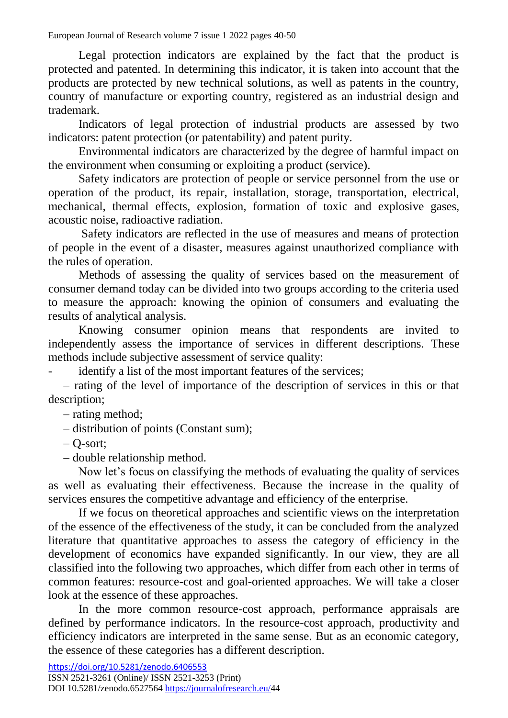Legal protection indicators are explained by the fact that the product is protected and patented. In determining this indicator, it is taken into account that the products are protected by new technical solutions, as well as patents in the country, country of manufacture or exporting country, registered as an industrial design and trademark.

Indicators of legal protection of industrial products are assessed by two indicators: patent protection (or patentability) and patent purity.

Environmental indicators are characterized by the degree of harmful impact on the environment when consuming or exploiting a product (service).

Safety indicators are protection of people or service personnel from the use or operation of the product, its repair, installation, storage, transportation, electrical, mechanical, thermal effects, explosion, formation of toxic and explosive gases, acoustic noise, radioactive radiation.

Safety indicators are reflected in the use of measures and means of protection of people in the event of a disaster, measures against unauthorized compliance with the rules of operation.

Methods of assessing the quality of services based on the measurement of consumer demand today can be divided into two groups according to the criteria used to measure the approach: knowing the opinion of consumers and evaluating the results of analytical analysis.

Knowing consumer opinion means that respondents are invited to independently assess the importance of services in different descriptions. These methods include subjective assessment of service quality:

identify a list of the most important features of the services;

 $-$  rating of the level of importance of the description of services in this or that description;

- rating method;

- distribution of points (Constant sum);

 $-$  O-sort:

- double relationship method.

Now let's focus on classifying the methods of evaluating the quality of services as well as evaluating their effectiveness. Because the increase in the quality of services ensures the competitive advantage and efficiency of the enterprise.

If we focus on theoretical approaches and scientific views on the interpretation of the essence of the effectiveness of the study, it can be concluded from the analyzed literature that quantitative approaches to assess the category of efficiency in the development of economics have expanded significantly. In our view, they are all classified into the following two approaches, which differ from each other in terms of common features: resource-cost and goal-oriented approaches. We will take a closer look at the essence of these approaches.

In the more common resource-cost approach, performance appraisals are defined by performance indicators. In the resource-cost approach, productivity and efficiency indicators are interpreted in the same sense. But as an economic category, the essence of these categories has a different description.

<https://doi.org/10.5281/zenodo.6406553>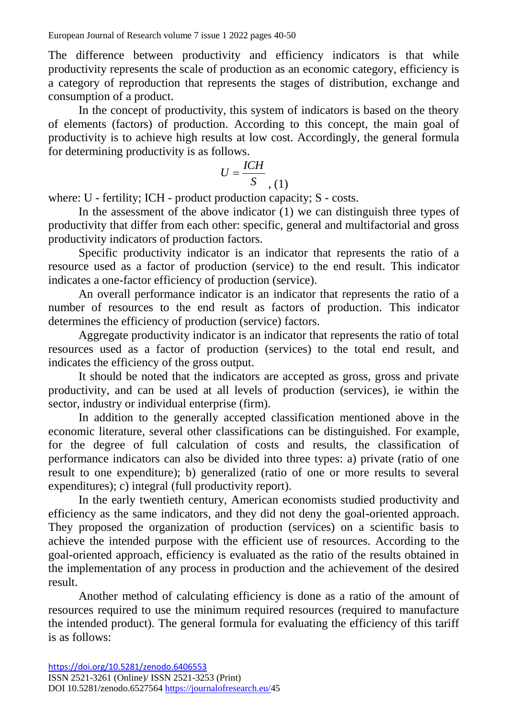The difference between productivity and efficiency indicators is that while productivity represents the scale of production as an economic category, efficiency is a category of reproduction that represents the stages of distribution, exchange and consumption of a product.

In the concept of productivity, this system of indicators is based on the theory of elements (factors) of production. According to this concept, the main goal of productivity is to achieve high results at low cost. Accordingly, the general formula for determining productivity is as follows.

$$
U = \frac{ICH}{S}, (1)
$$

where: U - fertility; ICH - product production capacity; S - costs.

In the assessment of the above indicator (1) we can distinguish three types of productivity that differ from each other: specific, general and multifactorial and gross productivity indicators of production factors.

Specific productivity indicator is an indicator that represents the ratio of a resource used as a factor of production (service) to the end result. This indicator indicates a one-factor efficiency of production (service).

An overall performance indicator is an indicator that represents the ratio of a number of resources to the end result as factors of production. This indicator determines the efficiency of production (service) factors.

Aggregate productivity indicator is an indicator that represents the ratio of total resources used as a factor of production (services) to the total end result, and indicates the efficiency of the gross output.

It should be noted that the indicators are accepted as gross, gross and private productivity, and can be used at all levels of production (services), ie within the sector, industry or individual enterprise (firm).

In addition to the generally accepted classification mentioned above in the economic literature, several other classifications can be distinguished. For example, for the degree of full calculation of costs and results, the classification of performance indicators can also be divided into three types: a) private (ratio of one result to one expenditure); b) generalized (ratio of one or more results to several expenditures); c) integral (full productivity report).

In the early twentieth century, American economists studied productivity and efficiency as the same indicators, and they did not deny the goal-oriented approach. They proposed the organization of production (services) on a scientific basis to achieve the intended purpose with the efficient use of resources. According to the goal-oriented approach, efficiency is evaluated as the ratio of the results obtained in the implementation of any process in production and the achievement of the desired result.

Another method of calculating efficiency is done as a ratio of the amount of resources required to use the minimum required resources (required to manufacture the intended product). The general formula for evaluating the efficiency of this tariff is as follows: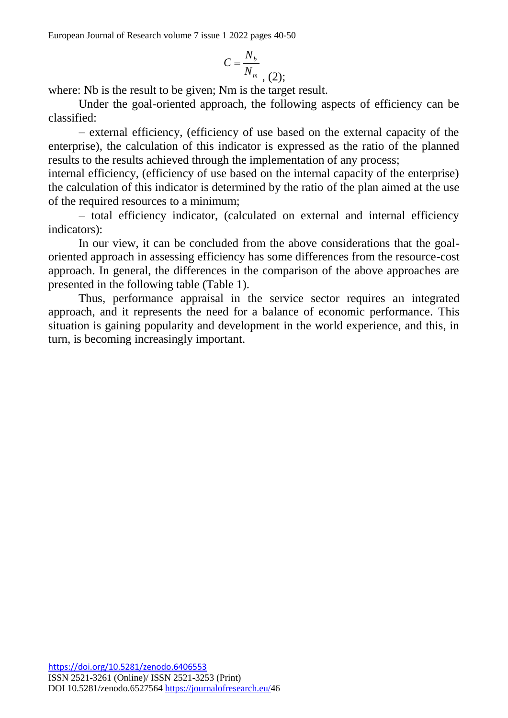$$
C=\frac{N_b}{N_m}, (2);
$$

where: Nb is the result to be given: Nm is the target result.

Under the goal-oriented approach, the following aspects of efficiency can be classified:

 external efficiency, (efficiency of use based on the external capacity of the enterprise), the calculation of this indicator is expressed as the ratio of the planned results to the results achieved through the implementation of any process;

internal efficiency, (efficiency of use based on the internal capacity of the enterprise) the calculation of this indicator is determined by the ratio of the plan aimed at the use of the required resources to a minimum;

- total efficiency indicator, (calculated on external and internal efficiency indicators):

In our view, it can be concluded from the above considerations that the goaloriented approach in assessing efficiency has some differences from the resource-cost approach. In general, the differences in the comparison of the above approaches are presented in the following table (Table 1).

Thus, performance appraisal in the service sector requires an integrated approach, and it represents the need for a balance of economic performance. This situation is gaining popularity and development in the world experience, and this, in turn, is becoming increasingly important.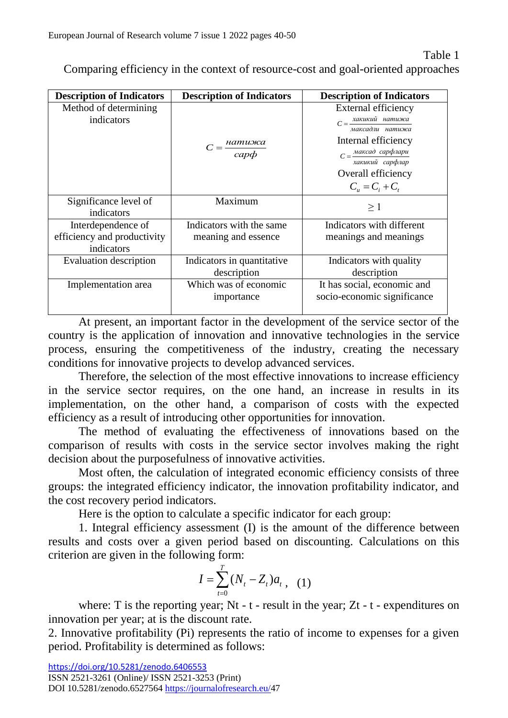Comparing efficiency in the context of resource-cost and goal-oriented approaches

| <b>Description of Indicators</b>                                | <b>Description of Indicators</b>                | <b>Description of Indicators</b>                                                                                                        |
|-----------------------------------------------------------------|-------------------------------------------------|-----------------------------------------------------------------------------------------------------------------------------------------|
| Method of determining<br>indicators                             |                                                 | External efficiency<br>$C = \frac{xaxu xu \tilde{u} + \alpha}{\alpha}$ натижа<br>максадли натижа                                        |
|                                                                 | $C = \frac{$ натижа<br>$cap\phi$                | Internal efficiency<br>$C = \frac{Maxcad \ cap\phi\pi\alpha\mu}{2}$<br>хакикий сарфлар<br>Overall efficiency<br>$C_{u} = C_{i} + C_{i}$ |
| Significance level of<br>indicators                             | Maximum                                         | $\geq 1$                                                                                                                                |
| Interdependence of<br>efficiency and productivity<br>indicators | Indicators with the same<br>meaning and essence | Indicators with different<br>meanings and meanings                                                                                      |
| <b>Evaluation description</b>                                   | Indicators in quantitative<br>description       | Indicators with quality<br>description                                                                                                  |
| Implementation area                                             | Which was of economic<br>importance             | It has social, economic and<br>socio-economic significance                                                                              |

At present, an important factor in the development of the service sector of the country is the application of innovation and innovative technologies in the service process, ensuring the competitiveness of the industry, creating the necessary conditions for innovative projects to develop advanced services.

Therefore, the selection of the most effective innovations to increase efficiency in the service sector requires, on the one hand, an increase in results in its implementation, on the other hand, a comparison of costs with the expected efficiency as a result of introducing other opportunities for innovation.

The method of evaluating the effectiveness of innovations based on the comparison of results with costs in the service sector involves making the right decision about the purposefulness of innovative activities.

Most often, the calculation of integrated economic efficiency consists of three groups: the integrated efficiency indicator, the innovation profitability indicator, and the cost recovery period indicators.

Here is the option to calculate a specific indicator for each group:

1. Integral efficiency assessment (I) is the amount of the difference between results and costs over a given period based on discounting. Calculations on this criterion are given in the following form:

$$
I = \sum_{t=0}^{T} (N_t - Z_t) a_t , \quad (1)
$$

where: T is the reporting year; Nt - t - result in the year; Zt - t - expenditures on innovation per year; at is the discount rate.

2. Innovative profitability (Pi) represents the ratio of income to expenses for a given period. Profitability is determined as follows: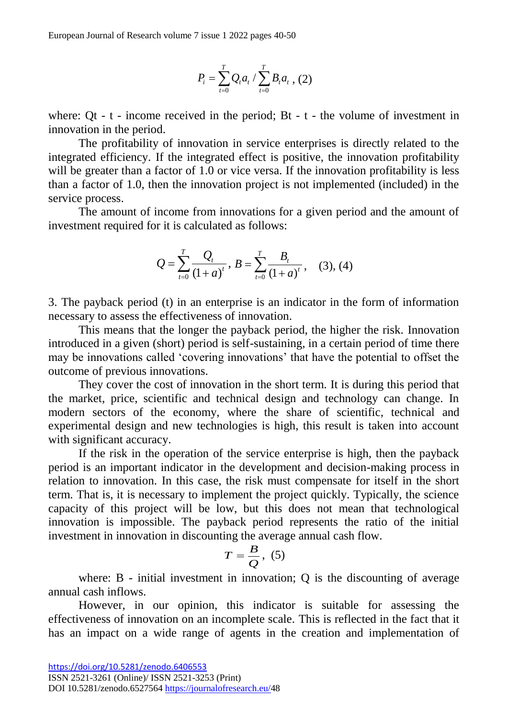$$
P_i = \sum_{t=0}^{T} Q_t a_t / \sum_{t=0}^{T} B_t a_t , (2)
$$

where: Qt -  $t$  - income received in the period; Bt -  $t$  - the volume of investment in innovation in the period.

The profitability of innovation in service enterprises is directly related to the integrated efficiency. If the integrated effect is positive, the innovation profitability will be greater than a factor of 1.0 or vice versa. If the innovation profitability is less than a factor of 1.0, then the innovation project is not implemented (included) in the service process.

The amount of income from innovations for a given period and the amount of investment required for it is calculated as follows:

$$
Q = \sum_{t=0}^{T} \frac{Q_t}{(1+a)^t}, B = \sum_{t=0}^{T} \frac{B_t}{(1+a)^t}, \quad (3), (4)
$$

3. The payback period (t) in an enterprise is an indicator in the form of information necessary to assess the effectiveness of innovation.

This means that the longer the payback period, the higher the risk. Innovation introduced in a given (short) period is self-sustaining, in a certain period of time there may be innovations called 'covering innovations' that have the potential to offset the outcome of previous innovations.

They cover the cost of innovation in the short term. It is during this period that the market, price, scientific and technical design and technology can change. In modern sectors of the economy, where the share of scientific, technical and experimental design and new technologies is high, this result is taken into account with significant accuracy.

 $P_i = \sum_i Q_i a_i / \sum_i B_i$ <br>
where: Qt - t - income received in the period;<br>
innovation in the period.<br>
The profitability of innovation in service<br>
innovation in the periodel efficiency. If the integrated efficiency<br>
will be great If the risk in the operation of the service enterprise is high, then the payback period is an important indicator in the development and decision-making process in relation to innovation. In this case, the risk must compensate for itself in the short term. That is, it is necessary to implement the project quickly. Typically, the science capacity of this project will be low, but this does not mean that technological innovation is impossible. The payback period represents the ratio of the initial investment in innovation in discounting the average annual cash flow.

$$
T=\frac{B}{Q},\,\,(5)
$$

where: B - initial investment in innovation; Q is the discounting of average annual cash inflows.

However, in our opinion, this indicator is suitable for assessing the effectiveness of innovation on an incomplete scale. This is reflected in the fact that it has an impact on a wide range of agents in the creation and implementation of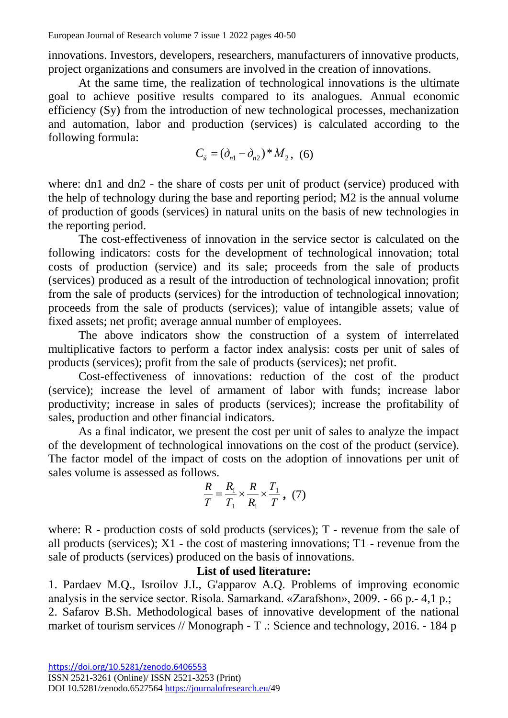innovations. Investors, developers, researchers, manufacturers of innovative products, project organizations and consumers are involved in the creation of innovations.

At the same time, the realization of technological innovations is the ultimate goal to achieve positive results compared to its analogues. Annual economic efficiency (Sy) from the introduction of new technological processes, mechanization and automation, labor and production (services) is calculated according to the following formula:

$$
C_{\tilde{u}} = (\partial_{n1} - \partial_{n2})^* M_2, (6)
$$

where: dn1 and dn2 - the share of costs per unit of product (service) produced with the help of technology during the base and reporting period; M2 is the annual volume of production of goods (services) in natural units on the basis of new technologies in the reporting period.

The cost-effectiveness of innovation in the service sector is calculated on the following indicators: costs for the development of technological innovation; total costs of production (service) and its sale; proceeds from the sale of products (services) produced as a result of the introduction of technological innovation; profit from the sale of products (services) for the introduction of technological innovation; proceeds from the sale of products (services); value of intangible assets; value of fixed assets; net profit; average annual number of employees.

The above indicators show the construction of a system of interrelated multiplicative factors to perform a factor index analysis: costs per unit of sales of products (services); profit from the sale of products (services); net profit.

Cost-effectiveness of innovations: reduction of the cost of the product (service); increase the level of armament of labor with funds; increase labor productivity; increase in sales of products (services); increase the profitability of sales, production and other financial indicators.

As a final indicator, we present the cost per unit of sales to analyze the impact of the development of technological innovations on the cost of the product (service). The factor model of the impact of costs on the adoption of innovations per unit of sales volume is assessed as follows.

$$
\frac{R}{T} = \frac{R_1}{T_1} \times \frac{R}{R_1} \times \frac{T_1}{T}, (7)
$$

where: R - production costs of sold products (services); T - revenue from the sale of all products (services); X1 - the cost of mastering innovations; T1 - revenue from the sale of products (services) produced on the basis of innovations.

## **List of used literature:**

1. Pardaev M.Q., Isroilov J.I., G'apparov A.Q. Problems of improving economic analysis in the service sector. Risola. Samarkand. «Zarafshon», 2009. - 66 p.- 4,1 p.; 2. Safarov B.Sh. Methodological bases of innovative development of the national market of tourism services // Monograph - T .: Science and technology, 2016. - 184 p